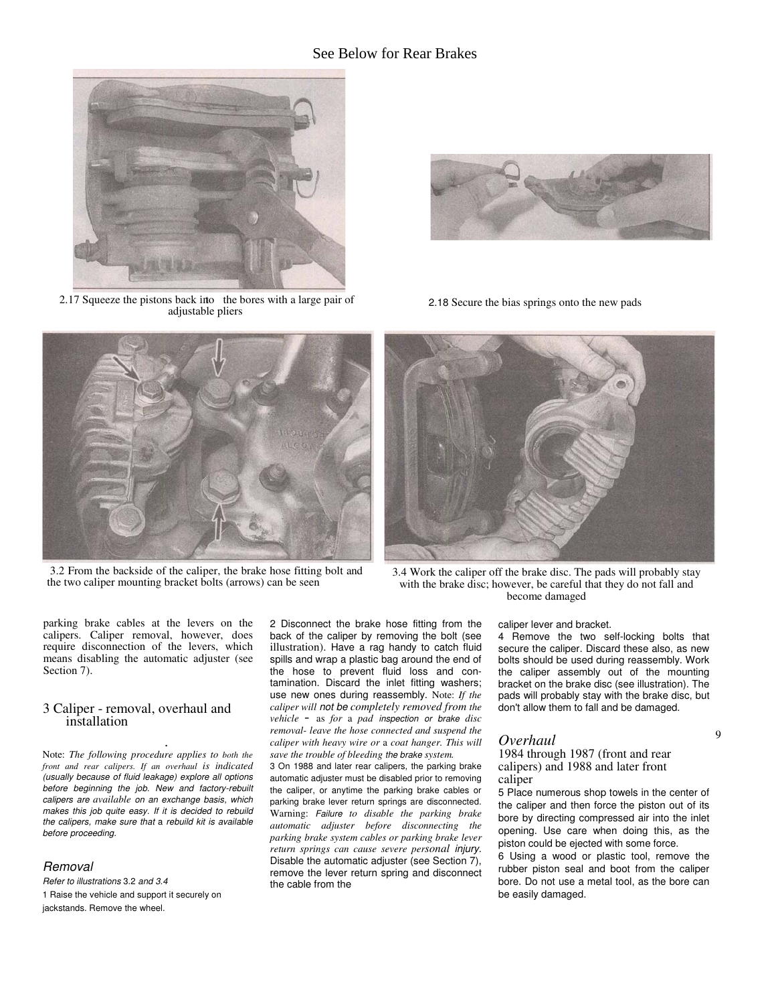# See Below for Rear Brakes



2.17 Squeeze the pistons back into the bores with a large pair of adjustable pliers



3.2 From the backside of the caliper, the brake hose fitting bolt and the two caliper mounting bracket bolts (arrows) can be seen



2.18 Secure the bias springs onto the new pads



3.4 Work the caliper off the brake disc. The pads will probably stay with the brake disc; however, be careful that they do not fall and become damaged

caliper lever and bracket.

4 Remove the two self-locking bolts that secure the caliper. Discard these also, as new bolts should be used during reassembly. Work the caliper assembly out of the mounting bracket on the brake disc (see illustration). The pads will probably stay with the brake disc, but don't allow them to fall and be damaged.

9

# *Overhaul*

1984 through 1987 (front and rear calipers) and 1988 and later front caliper

5 Place numerous shop towels in the center of the caliper and then force the piston out of its bore by directing compressed air into the inlet opening. Use care when doing this, as the piston could be ejected with some force.

6 Using a wood or plastic tool, remove the rubber piston seal and boot from the caliper bore. Do not use a metal tool, as the bore can be easily damaged.

parking brake cables at the levers on the calipers. Caliper removal, however, does require disconnection of the levers, which means disabling the automatic adjuster (see Section 7).

# 3 Caliper - removal, overhaul and installation

. Note: *The following procedure applies to both the front and rear calipers. If an overhaul is indicated* (usually because of fluid leakage) explore all options before beginning the job. New and factory-rebuilt calipers are *available* on an exchange basis, which makes this job quite easy. If it is decided to rebuild the calipers, make sure that a rebuild kit is available before proceeding.

### **Removal**

Refer to illustrations 3.2 and 3.4 1 Raise the vehicle and support it securely on jackstands. Remove the wheel.

2 Disconnect the brake hose fitting from the back of the caliper by removing the bolt (see illustration). Have a rag handy to catch fluid spills and wrap a plastic bag around the end of the hose to prevent fluid loss and contamination. Discard the inlet fitting washers; use new ones during reassembly. Note: *If the caliper will* not be *completely removed from the vehicle* - as *for* <sup>a</sup> *pad* inspection or brake *disc removal- leave the hose connected and suspend the caliper with heavy wire or* a *coat hanger. This will save the trouble of bleeding* the brake *system.*

3 On 1988 and later rear calipers, the parking brake automatic adjuster must be disabled prior to removing the caliper, or anytime the parking brake cables or parking brake lever return springs are disconnected. Warning: Failure *to disable the parking brake automatic adjuster before disconnecting the parking brake system cables or parking brake lever return springs can cause severe personal* injury. Disable the automatic adjuster (see Section 7), remove the lever return spring and disconnect the cable from the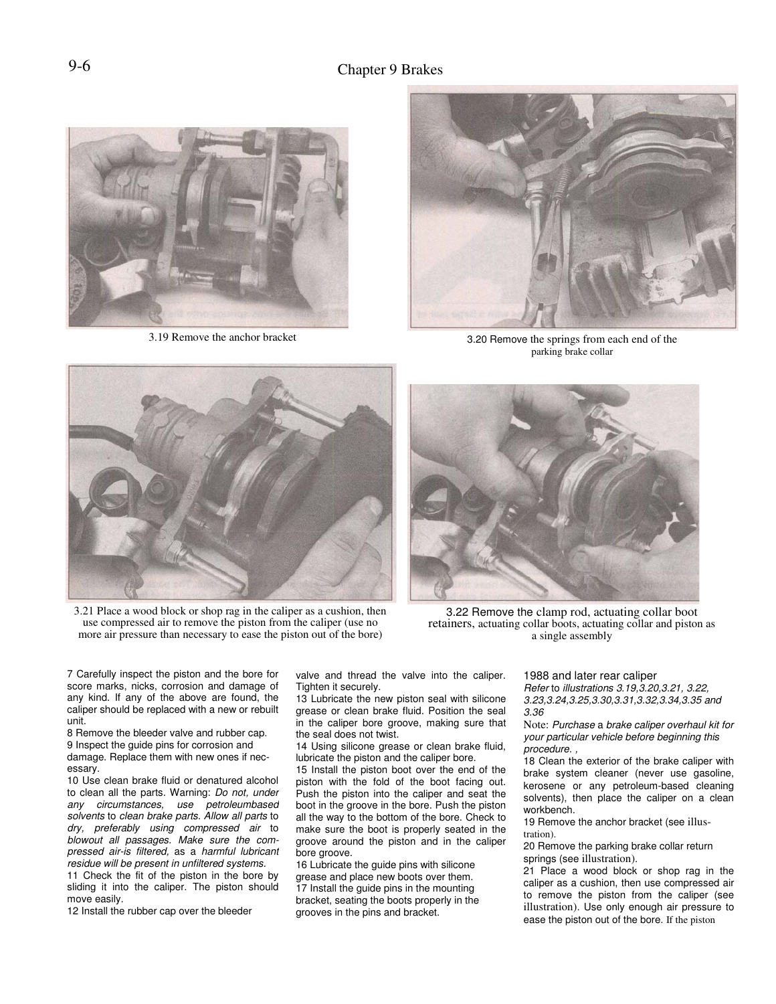

3.19 Remove the anchor bracket



3.20 Remove the springs from each end of the parking brake collar



3.21 Place a wood block or shop rag in the caliper as a cushion, then use compressed air to remove the piston from the caliper (use no more air pressure than necessary to ease the piston out of the bore)



3.22 Remove the clamp rod, actuating collar boot retainers, actuating collar boots, actuating collar and piston as a single assembly

7 Carefully inspect the piston and the bore for score marks, nicks, corrosion and damage of any kind. If any of the above are found, the caliper should be replaced with a new or rebuilt unit.

8 Remove the bleeder valve and rubber cap.

9 Inspect the guide pins for corrosion and damage. Replace them with new ones if nec-

essary.

10 Use clean brake fluid or denatured alcohol to clean all the parts. Warning: Do not, under any circumstances, use petroleumbased solvents to clean brake parts. Allow all parts to dry, preferably using compressed air to blowout all passages. Make sure the compressed air-is filtered, as a harmful lubricant residue will be present in unfiltered systems.

11 Check the fit of the piston in the bore by sliding it into the caliper. The piston should move easily.

12 Install the rubber cap over the bleeder

valve and thread the valve into the caliper. Tighten it securely.

13 Lubricate the new piston seal with silicone grease or clean brake fluid. Position the seal in the caliper bore groove, making sure that the seal does not twist.

14 Using silicone grease or clean brake fluid, lubricate the piston and the caliper bore.

15 Install the piston boot over the end of the piston with the fold of the boot facing out. Push the piston into the caliper and seat the boot in the groove in the bore. Push the piston all the way to the bottom of the bore. Check to make sure the boot is properly seated in the groove around the piston and in the caliper bore groove.

16 Lubricate the guide pins with silicone grease and place new boots over them. 17 Install the guide pins in the mounting bracket, seating the boots properly in the grooves in the pins and bracket.

1988 and later rear caliper

Refer to illustrations 3.19,3.20,3.21, 3.22, 3.23,3.24,3.25,3.30,3.31,3.32,3.34,3.35 and 3.36

Note: Purchase a brake caliper overhaul kit for your particular vehicle before beginning this procedure. ,

18 Clean the exterior of the brake caliper with brake system cleaner (never use gasoline, kerosene or any petroleum-based cleaning solvents), then place the caliper on a clean workbench.

19 Remove the anchor bracket (see illustration).

20 Remove the parking brake collar return springs (see illustration).

21 Place a wood block or shop rag in the caliper as a cushion, then use compressed air to remove the piston from the caliper (see illustration). Use only enough air pressure to ease the piston out of the bore. If the piston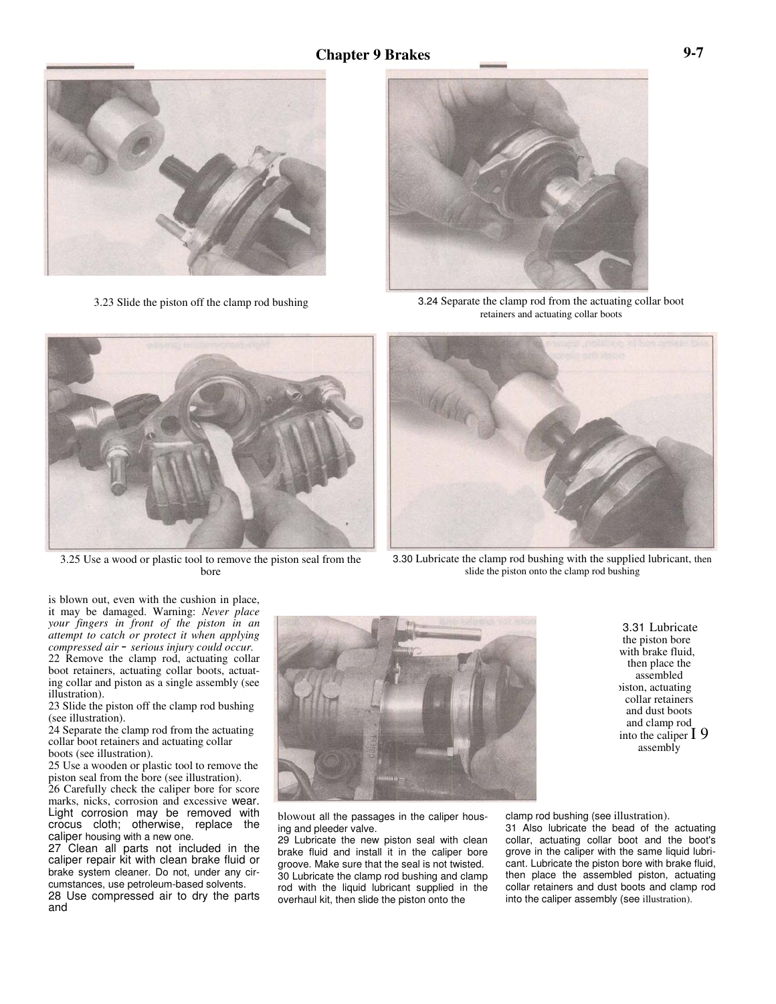

3.23 Slide the piston off the clamp rod bushing



3.24 Separate the clamp rod from the actuating collar boot retainers and actuating collar boots



3.25 Use a wood or plastic tool to remove the piston seal from the bore



3.30 Lubricate the clamp rod bushing with the supplied lubricant, then slide the piston onto the clamp rod bushing

is blown out, even with the cushion in place, it may be damaged. Warning: *Never place your fingers in front of the piston in an attempt to catch or protect it when applying compressed air* - *serious injury could occur.* 22 Remove the clamp rod, actuating collar boot retainers, actuating collar boots, actuating collar and piston as a single assembly (see illustration).

23 Slide the piston off the clamp rod bushing (see illustration).

24 Separate the clamp rod from the actuating collar boot retainers and actuating collar boots (see illustration).

25 Use a wooden or plastic tool to remove the piston seal from the bore (see illustration).

26 Carefully check the caliper bore for score marks, nicks, corrosion and excessive wear. Light corrosion may be removed with crocus cloth; otherwise, replace the caliper housing with a new one.

27 Clean all parts not included in the caliper repair kit with clean brake fluid or brake system cleaner. Do not, under any circumstances, use petroleum-based solvents. 28 Use compressed air to dry the parts and



3.31 Lubricate the piston bore with brake fluid, then place the assembled piston, actuating collar retainers and dust boots and clamp rod into the caliper I 9 assembly

blowout all the passages in the caliper housing and pleeder valve.

29 Lubricate the new piston seal with clean brake fluid and install it in the caliper bore groove. Make sure that the seal is not twisted. 30 Lubricate the clamp rod bushing and clamp rod with the liquid lubricant supplied in the overhaul kit, then slide the piston onto the

clamp rod bushing (see illustration).

31 Also lubricate the bead of the actuating collar, actuating collar boot and the boot's grove in the caliper with the same liquid lubricant. Lubricate the piston bore with brake fluid, then place the assembled piston, actuating collar retainers and dust boots and clamp rod into the caliper assembly (see illustration).